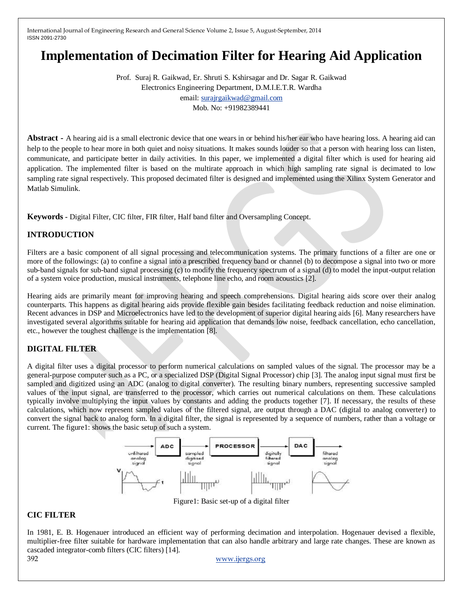# **Implementation of Decimation Filter for Hearing Aid Application**

Prof. Suraj R. Gaikwad, Er. Shruti S. Kshirsagar and Dr. Sagar R. Gaikwad Electronics Engineering Department, D.M.I.E.T.R. Wardha email[: surajrgaikwad@gmail.com](mailto:surajrgaikwad@gmail.com) Mob. No: +91982389441

**Abstract** - A hearing aid is a small electronic device that one wears in or behind his/her ear who have hearing loss. A hearing aid can help to the people to hear more in both quiet and noisy situations. It makes sounds louder so that a person with hearing loss can listen, communicate, and participate better in daily activities. In this paper, we implemented a digital filter which is used for hearing aid application. The implemented filter is based on the multirate approach in which high sampling rate signal is decimated to low sampling rate signal respectively. This proposed decimated filter is designed and implemented using the Xilinx System Generator and Matlab Simulink.

**Keywords -** Digital Filter, CIC filter, FIR filter, Half band filter and Oversampling Concept.

# **INTRODUCTION**

Filters are a basic component of all signal processing and telecommunication systems. The primary functions of a filter are one or more of the followings: (a) to confine a signal into a prescribed frequency band or channel (b) to decompose a signal into two or more sub-band signals for sub-band signal processing (c) to modify the frequency spectrum of a signal (d) to model the input-output relation of a system voice production, musical instruments, telephone line echo, and room acoustics [2].

Hearing aids are primarily meant for improving hearing and speech comprehensions. Digital hearing aids score over their analog counterparts. This happens as digital hearing aids provide flexible gain besides facilitating feedback reduction and noise elimination. Recent advances in DSP and Microelectronics have led to the development of superior digital hearing aids [6]. Many researchers have investigated several algorithms suitable for hearing aid application that demands low noise, feedback cancellation, echo cancellation, etc., however the toughest challenge is the implementation [8].

## **DIGITAL FILTER**

A digital filter uses a digital processor to perform numerical calculations on sampled values of the signal. The processor may be a general-purpose computer such as a PC, or a specialized DSP (Digital Signal Processor) chip [3]. The analog input signal must first be sampled and digitized using an ADC (analog to digital converter). The resulting binary numbers, representing successive sampled values of the input signal, are transferred to the processor, which carries out numerical calculations on them. These calculations typically involve multiplying the input values by constants and adding the products together [7]. If necessary, the results of these calculations, which now represent sampled values of the filtered signal, are output through a DAC (digital to analog converter) to convert the signal back to analog form. In a digital filter, the signal is represented by a sequence of numbers, rather than a voltage or current. The figure1: shows the basic setup of such a system.



Figure1: Basic set-up of a digital filter

#### **CIC FILTER**

In 1981, E. B. Hogenauer introduced an efficient way of performing decimation and interpolation. Hogenauer devised a flexible, multiplier-free filter suitable for hardware implementation that can also handle arbitrary and large rate changes. These are known as cascaded integrator-comb filters (CIC filters) [14].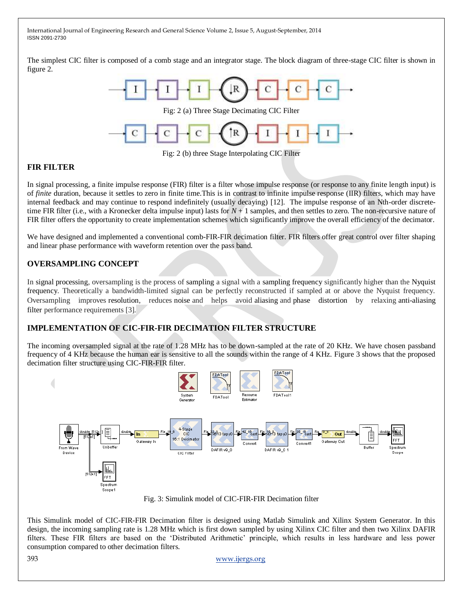The simplest CIC filter is composed of a comb stage and an integrator stage. The block diagram of three-stage CIC filter is shown in figure 2.



Fig: 2 (b) three Stage Interpolating CIC Filter

### **FIR FILTER**

In signal processing, a finite impulse response (FIR) filter is a filter whose impulse response (or response to any finite length input) is of *finite* duration, because it settles to zero in finite time.This is in contrast to infinite impulse response (IIR) filters, which may have internal feedback and may continue to respond indefinitely (usually decaying) [12]. The impulse response of an Nth-order discretetime FIR filter (i.e., with a Kronecker delta impulse input) lasts for  $N + 1$  samples, and then settles to zero. The non-recursive nature of FIR filter offers the opportunity to create implementation schemes which significantly improve the overall efficiency of the decimator.

We have designed and implemented a conventional comb-FIR-FIR decimation filter. FIR filters offer great control over filter shaping and linear phase performance with waveform retention over the pass band.

### **OVERSAMPLING CONCEPT**

In signal processing, oversampling is the process of sampling a signal with a sampling frequency significantly higher than the Nyquist frequency. Theoretically a bandwidth-limited signal can be perfectly reconstructed if sampled at or above the Nyquist frequency. Oversampling improves resolution, reduces noise and helps avoid aliasing and phase distortion by relaxing anti-aliasing filter performance requirements [3].

#### **IMPLEMENTATION OF CIC-FIR-FIR DECIMATION FILTER STRUCTURE**

The incoming oversampled signal at the rate of 1.28 MHz has to be down-sampled at the rate of 20 KHz. We have chosen passband frequency of 4 KHz because the human ear is sensitive to all the sounds within the range of 4 KHz. Figure 3 shows that the proposed decimation filter structure using CIC-FIR-FIR filter.



Fig. 3: Simulink model of CIC-FIR-FIR Decimation filter

This Simulink model of CIC-FIR-FIR Decimation filter is designed using Matlab Simulink and Xilinx System Generator. In this design, the incoming sampling rate is 1.28 MHz which is first down sampled by using Xilinx CIC filter and then two Xilinx DAFIR filters. These FIR filters are based on the "Distributed Arithmetic" principle, which results in less hardware and less power consumption compared to other decimation filters.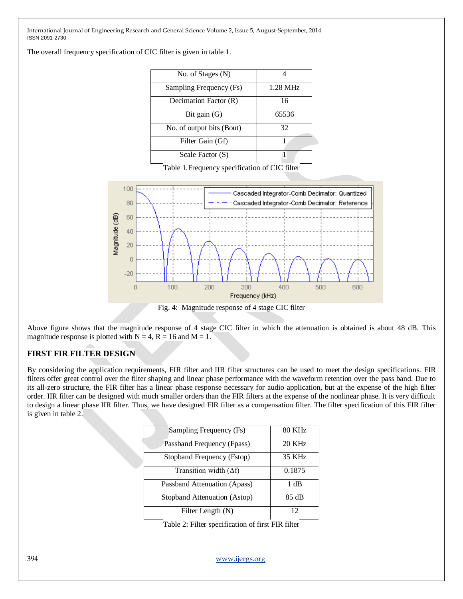The overall frequency specification of CIC filter is given in table 1.

| No. of Stages (N)         |          |
|---------------------------|----------|
| Sampling Frequency (Fs)   | 1.28 MHz |
| Decimation Factor (R)     | 16       |
| Bit gain $(G)$            | 65536    |
| No. of output bits (Bout) | 32       |
| Filter Gain (Gf)          |          |
| Scale Factor (S)          |          |

Table 1.Frequency specification of CIC filter



Fig. 4: Magnitude response of 4 stage CIC filter

Above figure shows that the magnitude response of 4 stage CIC filter in which the attenuation is obtained is about 48 dB. This magnitude response is plotted with  $N = 4$ ,  $R = 16$  and  $M = 1$ .

## **FIRST FIR FILTER DESIGN**

By considering the application requirements, FIR filter and IIR filter structures can be used to meet the design specifications. FIR filters offer great control over the filter shaping and linear phase performance with the waveform retention over the pass band. Due to its all-zero structure, the FIR filter has a linear phase response necessary for audio application, but at the expense of the high filter order. IIR filter can be designed with much smaller orders than the FIR filters at the expense of the nonlinear phase. It is very difficult to design a linear phase IIR filter. Thus, we have designed FIR filter as a compensation filter. The filter specification of this FIR filter is given in table 2.

| Sampling Frequency (Fs)       | 80 KHz |
|-------------------------------|--------|
| Passband Frequency (Fpass)    | 20 KHz |
| Stopband Frequency (Fstop)    | 35 KHz |
| Transition width $(\Delta f)$ | 0.1875 |
| Passband Attenuation (Apass)  | 1 dB   |
| Stopband Attenuation (Astop)  | 85 dB  |
| Filter Length (N)             | 12     |

Table 2: Filter specification of first FIR filter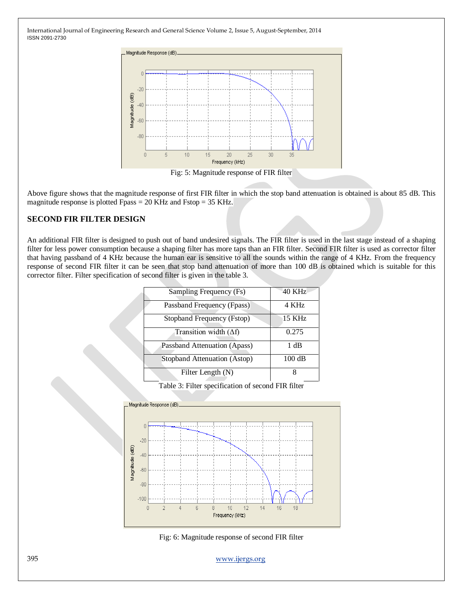

Above figure shows that the magnitude response of first FIR filter in which the stop band attenuation is obtained is about 85 dB. This magnitude response is plotted Fpass = 20 KHz and Fstop = 35 KHz.

### **SECOND FIR FILTER DESIGN**

An additional FIR filter is designed to push out of band undesired signals. The FIR filter is used in the last stage instead of a shaping filter for less power consumption because a shaping filter has more taps than an FIR filter. Second FIR filter is used as corrector filter that having passband of 4 KHz because the human ear is sensitive to all the sounds within the range of 4 KHz. From the frequency response of second FIR filter it can be seen that stop band attenuation of more than 100 dB is obtained which is suitable for this corrector filter. Filter specification of second filter is given in the table 3.

| Sampling Frequency (Fs)       | 40 KHz           |
|-------------------------------|------------------|
| Passband Frequency (Fpass)    | 4 KHz            |
| Stopband Frequency (Fstop)    | 15 KHz           |
| Transition width $(\Delta f)$ | 0.275            |
| Passband Attenuation (Apass)  | 1 dB             |
| Stopband Attenuation (Astop)  | $100 \text{ dB}$ |
| Filter Length (N)             | x                |

Table 3: Filter specification of second FIR filter



Fig: 6: Magnitude response of second FIR filter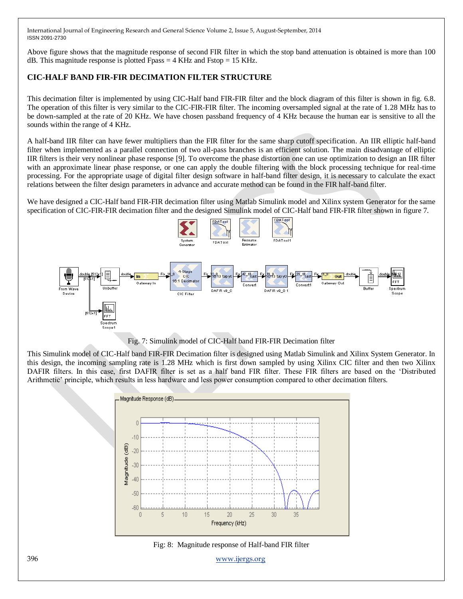Above figure shows that the magnitude response of second FIR filter in which the stop band attenuation is obtained is more than 100 dB. This magnitude response is plotted Fpass  $=$  4 KHz and Fstop  $=$  15 KHz.

# **CIC-HALF BAND FIR-FIR DECIMATION FILTER STRUCTURE**

This decimation filter is implemented by using CIC-Half band FIR-FIR filter and the block diagram of this filter is shown in fig. 6.8. The operation of this filter is very similar to the CIC-FIR-FIR filter. The incoming oversampled signal at the rate of 1.28 MHz has to be down-sampled at the rate of 20 KHz. We have chosen passband frequency of 4 KHz because the human ear is sensitive to all the sounds within the range of 4 KHz.

A half-band IIR filter can have fewer multipliers than the FIR filter for the same sharp cutoff specification. An IIR elliptic half-band filter when implemented as a parallel connection of two all-pass branches is an efficient solution. The main disadvantage of elliptic IIR filters is their very nonlinear phase response [9]. To overcome the phase distortion one can use optimization to design an IIR filter with an approximate linear phase response, or one can apply the double filtering with the block processing technique for real-time processing. For the appropriate usage of digital filter design software in half-band filter design, it is necessary to calculate the exact relations between the filter design parameters in advance and accurate method can be found in the FIR half-band filter.

We have designed a CIC-Half band FIR-FIR decimation filter using Matlab Simulink model and Xilinx system Generator for the same specification of CIC-FIR-FIR decimation filter and the designed Simulink model of CIC-Half band FIR-FIR filter shown in figure 7.



Fig. 7: Simulink model of CIC-Half band FIR-FIR Decimation filter

This Simulink model of CIC-Half band FIR-FIR Decimation filter is designed using Matlab Simulink and Xilinx System Generator. In this design, the incoming sampling rate is 1.28 MHz which is first down sampled by using Xilinx CIC filter and then two Xilinx DAFIR filters. In this case, first DAFIR filter is set as a half band FIR filter. These FIR filters are based on the "Distributed Arithmetic' principle, which results in less hardware and less power consumption compared to other decimation filters.



Fig: 8: Magnitude response of Half-band FIR filter